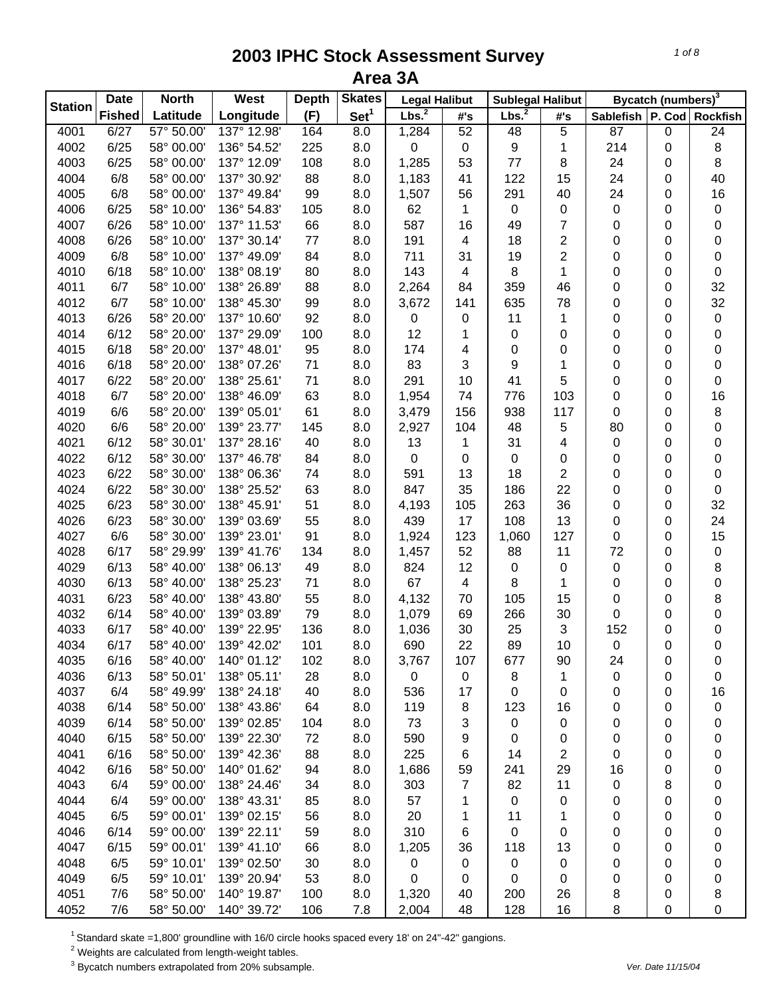| <b>Station</b> | <b>Date</b>   | <b>North</b> | West        | <b>Depth</b> | <b>Skates</b>    | <b>Legal Halibut</b> |                         | <b>Sublegal Halibut</b> |                |                               | Bycatch (numbers) <sup>3</sup> |    |
|----------------|---------------|--------------|-------------|--------------|------------------|----------------------|-------------------------|-------------------------|----------------|-------------------------------|--------------------------------|----|
|                | <b>Fished</b> | Latitude     | Longitude   | (F)          | Set <sup>1</sup> | Lbs. <sup>2</sup>    | #'s                     | Lbs. <sup>2</sup>       | #'s            | Sablefish   P. Cod   Rockfish |                                |    |
| 4001           | 6/27          | 57° 50.00    | 137° 12.98' | 164          | 8.0              | 1,284                | 52                      | 48                      | 5              | 87                            | 0                              | 24 |
| 4002           | 6/25          | 58° 00.00'   | 136° 54.52' | 225          | 8.0              | 0                    | $\mathsf 0$             | 9                       | 1              | 214                           | 0                              | 8  |
| 4003           | 6/25          | 58° 00.00'   | 137° 12.09' | 108          | 8.0              | 1,285                | 53                      | 77                      | 8              | 24                            | 0                              | 8  |
| 4004           | 6/8           | 58° 00.00'   | 137° 30.92' | 88           | 8.0              | 1,183                | 41                      | 122                     | 15             | 24                            | 0                              | 40 |
| 4005           | 6/8           | 58° 00.00'   | 137° 49.84' | 99           | 8.0              | 1,507                | 56                      | 291                     | 40             | 24                            | 0                              | 16 |
| 4006           | 6/25          | 58° 10.00'   | 136° 54.83' | 105          | 8.0              | 62                   | 1                       | $\pmb{0}$               | 0              | $\pmb{0}$                     | 0                              | 0  |
| 4007           | 6/26          | 58° 10.00'   | 137° 11.53' | 66           | 8.0              | 587                  | 16                      | 49                      | $\overline{7}$ | $\pmb{0}$                     | 0                              | 0  |
| 4008           | 6/26          | 58° 10.00'   | 137° 30.14' | 77           | 8.0              | 191                  | $\overline{\mathbf{4}}$ | 18                      | $\overline{2}$ | $\pmb{0}$                     | 0                              | 0  |
| 4009           | 6/8           | 58° 10.00'   | 137° 49.09' | 84           | 8.0              | 711                  | 31                      | 19                      | $\overline{2}$ | $\pmb{0}$                     | 0                              | 0  |
| 4010           | 6/18          | 58° 10.00'   | 138° 08.19' | 80           | 8.0              | 143                  | $\overline{\mathbf{4}}$ | 8                       | 1              | $\pmb{0}$                     | 0                              | 0  |
| 4011           | 6/7           | 58° 10.00'   | 138° 26.89' | 88           | 8.0              | 2,264                | 84                      | 359                     | 46             | 0                             | 0                              | 32 |
| 4012           | 6/7           | 58° 10.00'   | 138° 45.30' | 99           | 8.0              | 3,672                | 141                     | 635                     | 78             | $\mathbf 0$                   | 0                              | 32 |
| 4013           | 6/26          | 58° 20.00'   | 137° 10.60' | 92           | 8.0              | 0                    | 0                       | 11                      | 1              | 0                             | 0                              | 0  |
| 4014           | 6/12          | 58° 20.00'   | 137° 29.09' | 100          | 8.0              | 12                   | 1                       | 0                       | 0              | 0                             | 0                              | 0  |
| 4015           | 6/18          | 58° 20.00'   | 137° 48.01' | 95           | 8.0              | 174                  | 4                       | 0                       | 0              | 0                             | 0                              | 0  |
| 4016           | 6/18          | 58° 20.00'   | 138° 07.26' | 71           | 8.0              | 83                   | 3                       | 9                       | 1              | 0                             | 0                              | 0  |
| 4017           | 6/22          | 58° 20.00'   | 138° 25.61' | 71           | 8.0              | 291                  | 10                      | 41                      | 5              | 0                             | 0                              | 0  |
| 4018           | 6/7           | 58° 20.00'   | 138° 46.09' | 63           | 8.0              | 1,954                | 74                      | 776                     | 103            | 0                             | 0                              | 16 |
| 4019           | 6/6           | 58° 20.00'   | 139° 05.01' | 61           | 8.0              | 3,479                | 156                     | 938                     | 117            | $\pmb{0}$                     | 0                              | 8  |
| 4020           | 6/6           | 58° 20.00'   | 139° 23.77' | 145          | 8.0              | 2,927                | 104                     | 48                      | 5              | 80                            | 0                              | 0  |
| 4021           | 6/12          | 58° 30.01'   | 137° 28.16' | 40           | 8.0              | 13                   | 1                       | 31                      | 4              | $\pmb{0}$                     | 0                              | 0  |
| 4022           | 6/12          | 58° 30.00'   | 137° 46.78' | 84           | 8.0              | $\boldsymbol{0}$     | 0                       | 0                       | 0              | 0                             | 0                              | 0  |
| 4023           | 6/22          | 58° 30.00'   | 138° 06.36' | 74           | 8.0              | 591                  | 13                      | 18                      | $\overline{2}$ | 0                             | 0                              | 0  |
| 4024           | 6/22          | 58° 30.00'   | 138° 25.52' | 63           | 8.0              | 847                  | 35                      | 186                     | 22             | 0                             | 0                              | 0  |
| 4025           | 6/23          | 58° 30.00'   | 138° 45.91' | 51           | 8.0              | 4,193                | 105                     | 263                     | 36             | $\pmb{0}$                     | 0                              | 32 |
| 4026           | 6/23          | 58° 30.00'   | 139° 03.69' | 55           | 8.0              | 439                  | 17                      | 108                     | 13             | $\pmb{0}$                     | 0                              | 24 |
| 4027           | 6/6           | 58° 30.00'   | 139° 23.01' | 91           | 8.0              | 1,924                | 123                     | 1,060                   | 127            | $\pmb{0}$                     | 0                              | 15 |
| 4028           | 6/17          | 58° 29.99'   | 139° 41.76' | 134          | 8.0              | 1,457                | 52                      | 88                      | 11             | 72                            | 0                              | 0  |
| 4029           | 6/13          | 58° 40.00'   | 138° 06.13' | 49           | 8.0              | 824                  | 12                      | 0                       | 0              | $\pmb{0}$                     | 0                              | 8  |
| 4030           | 6/13          | 58° 40.00'   | 138° 25.23' | 71           | 8.0              | 67                   | 4                       | 8                       | 1              | 0                             | 0                              | 0  |
| 4031           | 6/23          | 58° 40.00'   | 138° 43.80' | 55           | 8.0              | 4,132                | 70                      | 105                     | 15             | 0                             | 0                              | 8  |
| 4032           | 6/14          | 58° 40.00'   | 139° 03.89' | 79           | 8.0              | 1,079                | 69                      | 266                     | 30             | 0                             | 0                              | 0  |
| 4033           | 6/17          | 58° 40.00'   | 139° 22.95' | 136          | 8.0              | 1,036                | 30                      | 25                      | 3              | 152                           | 0                              | 0  |
| 4034           | 6/17          | 58° 40.00'   | 139° 42.02' | 101          | 8.0              | 690                  | 22                      | 89                      | 10             | $\pmb{0}$                     | 0                              | 0  |
| 4035           | 6/16          | 58° 40.00'   | 140° 01.12' | 102          | 8.0              | 3,767                | 107                     | 677                     | 90             | 24                            | 0                              | 0  |
| 4036           | 6/13          | 58° 50.01'   | 138° 05.11' | 28           | 8.0              | $\mathsf 0$          | $\mathbf 0$             | 8                       | $\mathbf 1$    | 0                             | 0                              | 0  |
| 4037           | 6/4           | 58° 49.99'   | 138° 24.18' | 40           | 8.0              | 536                  | 17                      | 0                       | 0              | 0                             | 0                              | 16 |
| 4038           | 6/14          | 58° 50.00'   | 138° 43.86' | 64           | 8.0              | 119                  | 8                       | 123                     | 16             | 0                             | 0                              | 0  |
| 4039           | 6/14          | 58° 50.00'   | 139° 02.85' | 104          | 8.0              | 73                   | 3                       | 0                       | 0              | 0                             | 0                              | 0  |
| 4040           | 6/15          | 58° 50.00'   | 139° 22.30' | 72           | 8.0              | 590                  | 9                       | 0                       | 0              | 0                             | 0                              | 0  |
| 4041           | 6/16          | 58° 50.00'   | 139° 42.36' | 88           | 8.0              | 225                  | 6                       | 14                      | $\overline{c}$ | 0                             | 0                              | 0  |
| 4042           | 6/16          | 58° 50.00'   | 140° 01.62' | 94           | 8.0              | 1,686                | 59                      | 241                     | 29             | 16                            | 0                              | 0  |
| 4043           | 6/4           | 59° 00.00'   | 138° 24.46' | 34           | 8.0              | 303                  | $\overline{7}$          | 82                      | 11             | 0                             | 8                              | 0  |
| 4044           | 6/4           | 59° 00.00'   | 138° 43.31' | 85           | 8.0              | 57                   | 1                       | 0                       | 0              | 0                             | 0                              | 0  |
| 4045           | 6/5           | 59° 00.01'   | 139° 02.15' | 56           | 8.0              | 20                   | 1                       | 11                      | 1              | 0                             | 0                              | 0  |
| 4046           | 6/14          | 59° 00.00'   | 139° 22.11' | 59           | 8.0              | 310                  | 6                       | 0                       | 0              | 0                             | 0                              | 0  |
| 4047           | 6/15          | 59° 00.01'   | 139° 41.10' | 66           | 8.0              | 1,205                | 36                      | 118                     | 13             | 0                             | 0                              | 0  |
| 4048           | 6/5           | 59° 10.01'   | 139° 02.50' | 30           | 8.0              | $\boldsymbol{0}$     | 0                       | 0                       | 0              | 0                             | 0                              | 0  |
| 4049           | 6/5           | 59° 10.01'   | 139° 20.94' | 53           | 8.0              | 0                    | 0                       | 0                       | 0              | 0                             | 0                              | 0  |
| 4051           | 7/6           | 58° 50.00'   | 140° 19.87' | 100          | 8.0              | 1,320                | 40                      | 200                     | 26             | 8                             | 0                              | 8  |
| 4052           | 7/6           | 58° 50.00'   | 140° 39.72' | 106          | 7.8              | 2,004                | 48                      | 128                     | 16             | 8                             | 0                              | 0  |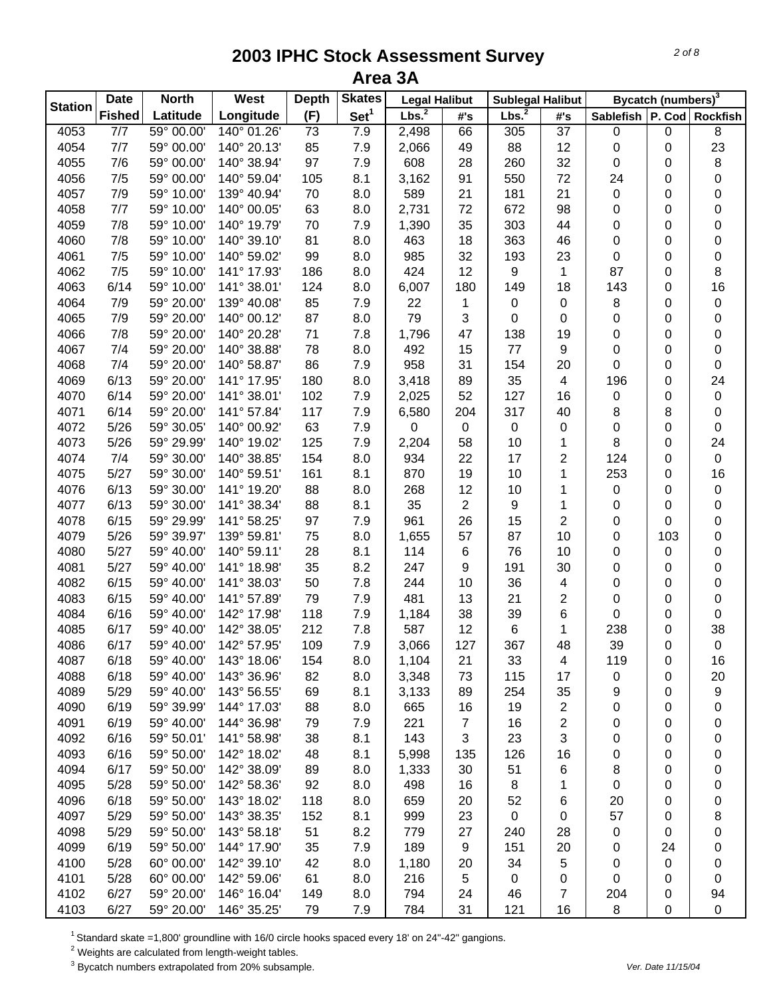| <b>Station</b> | <b>Date</b>      | <b>North</b>             | West        | <b>Depth</b> | <b>Skates</b>    | <b>Legal Halibut</b> |                | <b>Sublegal Halibut</b> |                         |                               | Bycatch (numbers) <sup>3</sup> |             |
|----------------|------------------|--------------------------|-------------|--------------|------------------|----------------------|----------------|-------------------------|-------------------------|-------------------------------|--------------------------------|-------------|
|                | <b>Fished</b>    | Latitude                 | Longitude   | (F)          | Set <sup>1</sup> | Lbs. <sup>2</sup>    | #'s            | Lbs. <sup>2</sup>       | #'s                     | Sablefish   P. Cod   Rockfish |                                |             |
| 4053           | $\overline{7/7}$ | 59° 00.00                | 140° 01.26' | 73           | 7.9              | 2,498                | 66             | 305                     | 37                      | 0                             | 0                              | 8           |
| 4054           | 7/7              | 59° 00.00'               | 140° 20.13' | 85           | 7.9              | 2,066                | 49             | 88                      | 12                      | 0                             | 0                              | 23          |
| 4055           | 7/6              | 59° 00.00'               | 140° 38.94' | 97           | 7.9              | 608                  | 28             | 260                     | 32                      | 0                             | 0                              | 8           |
| 4056           | 7/5              | 59° 00.00'               | 140° 59.04' | 105          | 8.1              | 3,162                | 91             | 550                     | 72                      | 24                            | 0                              | 0           |
| 4057           | 7/9              | 59° 10.00'               | 139° 40.94' | 70           | 8.0              | 589                  | 21             | 181                     | 21                      | 0                             | 0                              | 0           |
| 4058           | 7/7              | 59° 10.00'               | 140° 00.05' | 63           | 8.0              | 2,731                | 72             | 672                     | 98                      | 0                             | 0                              | 0           |
| 4059           | 7/8              | 59° 10.00'               | 140° 19.79' | 70           | 7.9              | 1,390                | 35             | 303                     | 44                      | 0                             | 0                              | 0           |
| 4060           | 7/8              | 59° 10.00'               | 140° 39.10' | 81           | 8.0              | 463                  | 18             | 363                     | 46                      | 0                             | 0                              | 0           |
| 4061           | 7/5              | 59° 10.00'               | 140° 59.02' | 99           | 8.0              | 985                  | 32             | 193                     | 23                      | 0                             | 0                              | 0           |
| 4062           | 7/5              | 59° 10.00'               | 141° 17.93' | 186          | 8.0              | 424                  | 12             | 9                       | 1                       | 87                            | 0                              | 8           |
| 4063           | 6/14             | 59° 10.00'               | 141° 38.01' | 124          | 8.0              | 6,007                | 180            | 149                     | 18                      | 143                           | 0                              | 16          |
| 4064           | 7/9              | 59° 20.00'               | 139° 40.08' | 85           | 7.9              | 22                   | 1              | 0                       | 0                       | 8                             | 0                              | 0           |
| 4065           | 7/9              | 59° 20.00'               | 140° 00.12' | 87           | 8.0              | 79                   | 3              | 0                       | 0                       | 0                             | 0                              | 0           |
| 4066           | 7/8              | 59° 20.00'               | 140° 20.28' | 71           | 7.8              | 1,796                | 47             | 138                     | 19                      | 0                             | 0                              | 0           |
| 4067           | 7/4              | 59° 20.00'               | 140° 38.88' | 78           | 8.0              | 492                  | 15             | 77                      | 9                       | 0                             | 0                              | 0           |
| 4068           | 7/4              | 59° 20.00'               | 140° 58.87' | 86           | 7.9              | 958                  | 31             | 154                     | 20                      | 0                             | 0                              | $\pmb{0}$   |
| 4069           | 6/13             | 59° 20.00'               | 141° 17.95' | 180          | 8.0              | 3,418                | 89             | 35                      | $\overline{\mathbf{4}}$ | 196                           | 0                              | 24          |
| 4070           | 6/14             | 59° 20.00'               | 141° 38.01' | 102          | 7.9              | 2,025                | 52             | 127                     | 16                      | 0                             | 0                              | 0           |
| 4071           | 6/14             | 59° 20.00'               | 141° 57.84' | 117          | 7.9              | 6,580                | 204            | 317                     | 40                      | 8                             | 8                              | 0           |
| 4072           | 5/26             | 59° 30.05'               | 140° 00.92' | 63           | 7.9              | 0                    | $\,0\,$        | $\pmb{0}$               | 0                       | 0                             | 0                              | $\pmb{0}$   |
| 4073           | 5/26             | 59° 29.99'               | 140° 19.02' | 125          | 7.9              | 2,204                | 58             | 10                      | 1                       | 8                             | 0                              | 24          |
| 4074           | 7/4              | 59° 30.00'               | 140° 38.85' | 154          | 8.0              | 934                  | 22             | 17                      | $\overline{2}$          | 124                           | 0                              | $\pmb{0}$   |
| 4075           | 5/27             | 59° 30.00'               | 140° 59.51' | 161          | 8.1              | 870                  | 19             | 10                      | 1                       | 253                           | 0                              | 16          |
| 4076           | 6/13             | 59° 30.00'               | 141° 19.20' | 88           | 8.0              | 268                  | 12             | 10                      | 1                       | $\pmb{0}$                     | 0                              | $\pmb{0}$   |
| 4077           | 6/13             | 59° 30.00'               | 141° 38.34' | 88           | 8.1              | 35                   | $\overline{2}$ | 9                       | 1                       | 0                             | 0                              | $\pmb{0}$   |
| 4078           | 6/15             | 59° 29.99'               | 141° 58.25' | 97           | 7.9              | 961                  | 26             | 15                      | $\overline{2}$          | 0                             | 0                              | 0           |
| 4079           | 5/26             | 59° 39.97'               | 139° 59.81' | 75           | 8.0              | 1,655                | 57             | 87                      | 10                      | 0                             | 103                            | 0           |
| 4080           | 5/27             | 59° 40.00'               | 140° 59.11' | 28           | 8.1              | 114                  | 6              | 76                      | 10                      | 0                             | 0                              | 0           |
| 4081           | 5/27             | 59° 40.00'               | 141° 18.98' | 35           | 8.2              | 247                  | 9              | 191                     | 30                      | 0                             | 0                              | 0           |
| 4082           | 6/15             | 59° 40.00'               | 141° 38.03' | 50           | 7.8              | 244                  | 10             | 36                      | 4                       | 0                             | 0                              | 0           |
| 4083           | 6/15             | 59° 40.00'               | 141° 57.89' | 79           | 7.9              | 481                  | 13             | 21                      | 2                       | 0                             | 0                              | 0           |
| 4084           | 6/16             | 59° 40.00'               | 142° 17.98' | 118          | 7.9              | 1,184                | 38             | 39                      | 6                       | 0                             | 0                              | $\mathbf 0$ |
| 4085           | 6/17             | 59° 40.00'               | 142° 38.05' | 212          | 7.8              | 587                  | 12             | 6                       | 1                       | 238                           | 0                              | 38          |
| 4086           | 6/17             | 59° 40.00'               | 142° 57.95' | 109          | 7.9              | 3,066                | 127            | 367                     | 48                      | 39                            | 0                              | $\pmb{0}$   |
| 4087           | 6/18             | 59° 40.00'               | 143° 18.06' | 154          | 8.0              | 1,104                | 21             | 33                      | 4                       | 119                           | 0                              | 16          |
| 4088           | 6/18             | 59° 40.00'               | 143° 36.96' | 82           | 8.0              | 3,348                | 73             | 115                     | 17                      | 0                             | 0                              | 20          |
| 4089           | 5/29             | 59° 40.00'               | 143° 56.55' | 69           | 8.1              | 3,133                | 89             | 254                     | 35                      | 9                             | 0                              | 9           |
| 4090           | 6/19             | 59° 39.99'               | 144° 17.03' | 88           | 8.0              | 665                  | 16             | 19                      | $\mathbf{2}$            | 0                             | 0                              | 0           |
| 4091           | 6/19             | 59° 40.00'               | 144° 36.98' | 79           | 7.9              | 221                  | $\overline{7}$ | 16                      | $\overline{2}$          | 0                             | 0                              | 0           |
| 4092           | 6/16             | 59° 50.01'               | 141° 58.98' | 38           | 8.1              | 143                  | 3              | 23                      | 3                       | 0                             | 0                              | 0           |
| 4093           | 6/16             | 59° 50.00'               | 142° 18.02' | 48           | 8.1              | 5,998                | 135            | 126                     | 16                      | 0                             | 0                              | 0           |
| 4094           | 6/17             | 59° 50.00'               | 142° 38.09' | 89           | 8.0              | 1,333                | 30             | 51                      | 6                       | 8                             | 0                              | 0           |
| 4095           | 5/28             | 59° 50.00'               | 142° 58.36' | 92           | 8.0              | 498                  | 16             | 8                       | 1                       | 0                             | 0                              | 0           |
| 4096           | 6/18             | 59° 50.00'               | 143° 18.02' | 118          | 8.0              | 659                  | 20             | 52                      | 6                       | 20                            | 0                              |             |
| 4097           | 5/29             | 59° 50.00'               | 143° 38.35' | 152          | 8.1              | 999                  | 23             | $\mathbf 0$             | 0                       | 57                            | 0                              | 0           |
| 4098           | 5/29             | 59° 50.00'               | 143° 58.18' | 51           | 8.2              | 779                  | 27             |                         | 28                      |                               |                                | 8           |
| 4099           | 6/19             | 59° 50.00'               | 144° 17.90' |              |                  | 189                  | 9              | 240                     |                         | 0                             | 0<br>24                        | 0           |
| 4100           | 5/28             | 60° 00.00'               | 142° 39.10' | 35<br>42     | 7.9              |                      | 20             | 151<br>34               | 20                      | 0                             |                                | 0           |
|                | 5/28             |                          |             |              | 8.0              | 1,180                |                |                         | 5                       | 0                             | 0                              | 0           |
| 4101           |                  | 60° 00.00'<br>59° 20.00' | 142° 59.06' | 61           | 8.0              | 216                  | 5              | 0                       | 0                       | 0                             | 0                              | 0           |
| 4102           | 6/27             |                          | 146° 16.04' | 149          | 8.0              | 794                  | 24             | 46                      | $\overline{7}$          | 204                           | 0                              | 94          |
| 4103           | 6/27             | 59° 20.00'               | 146° 35.25' | 79           | 7.9              | 784                  | 31             | 121                     | 16                      | 8                             | 0                              | $\pmb{0}$   |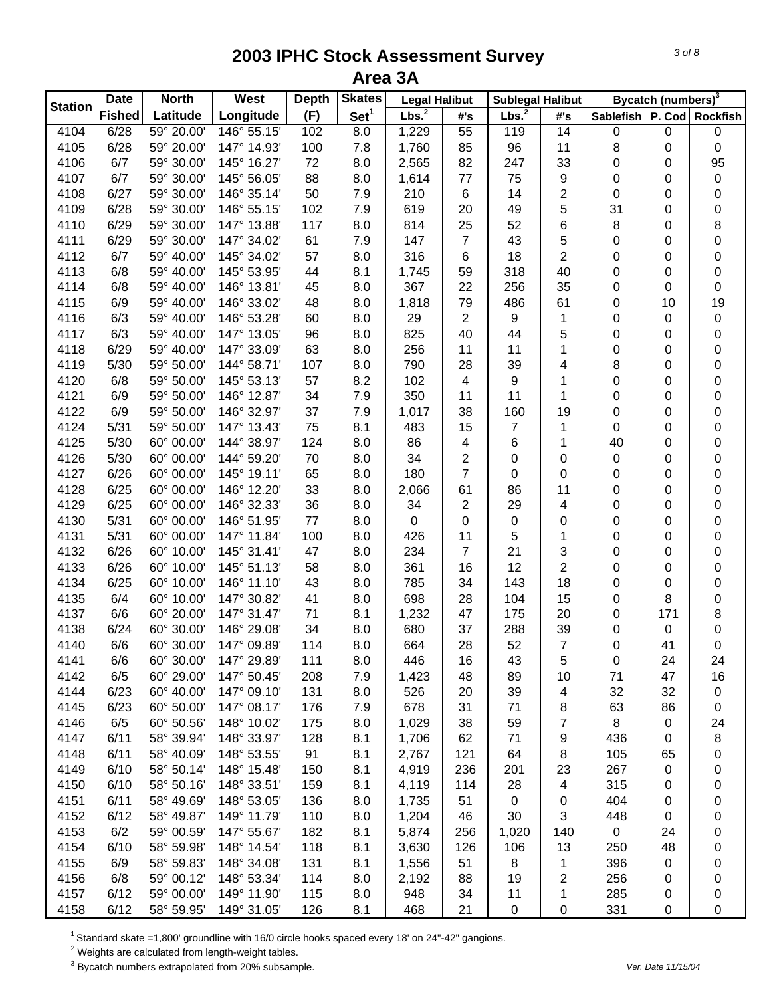| <b>Station</b> | <b>Date</b>   | <b>North</b> | West        | <b>Depth</b> | <b>Skates</b>    | <b>Legal Halibut</b> |                | <b>Sublegal Halibut</b> |                         |                               | Bycatch (numbers) <sup>3</sup> |           |
|----------------|---------------|--------------|-------------|--------------|------------------|----------------------|----------------|-------------------------|-------------------------|-------------------------------|--------------------------------|-----------|
|                | <b>Fished</b> | Latitude     | Longitude   | (F)          | Set <sup>1</sup> | Lbs. <sup>2</sup>    | #'s            | Lbs. <sup>2</sup>       | #'s                     | Sablefish   P. Cod   Rockfish |                                |           |
| 4104           | 6/28          | 59° 20.00'   | 146° 55.15' | 102          | 8.0              | 1,229                | 55             | 119                     | 14                      | 0                             | 0                              | $\pmb{0}$ |
| 4105           | 6/28          | 59° 20.00'   | 147° 14.93' | 100          | 7.8              | 1,760                | 85             | 96                      | 11                      | 8                             | 0                              | 0         |
| 4106           | 6/7           | 59° 30.00'   | 145° 16.27' | 72           | 8.0              | 2,565                | 82             | 247                     | 33                      | 0                             | 0                              | 95        |
| 4107           | 6/7           | 59° 30.00'   | 145° 56.05' | 88           | 8.0              | 1,614                | 77             | 75                      | 9                       | 0                             | 0                              | $\pmb{0}$ |
| 4108           | 6/27          | 59° 30.00'   | 146° 35.14' | 50           | 7.9              | 210                  | 6              | 14                      | $\overline{c}$          | 0                             | 0                              | 0         |
| 4109           | 6/28          | 59° 30.00'   | 146° 55.15' | 102          | 7.9              | 619                  | 20             | 49                      | 5                       | 31                            | 0                              | 0         |
| 4110           | 6/29          | 59° 30.00'   | 147° 13.88' | 117          | 8.0              | 814                  | 25             | 52                      | 6                       | 8                             | 0                              | 8         |
| 4111           | 6/29          | 59° 30.00'   | 147° 34.02' | 61           | 7.9              | 147                  | $\overline{7}$ | 43                      | 5                       | 0                             | 0                              | $\pmb{0}$ |
| 4112           | 6/7           | 59° 40.00'   | 145° 34.02' | 57           | 8.0              | 316                  | 6              | 18                      | $\overline{2}$          | 0                             | 0                              | $\pmb{0}$ |
| 4113           | 6/8           | 59° 40.00'   | 145° 53.95' | 44           | 8.1              | 1,745                | 59             | 318                     | 40                      | 0                             | 0                              | $\pmb{0}$ |
| 4114           | 6/8           | 59° 40.00'   | 146° 13.81' | 45           | 8.0              | 367                  | 22             | 256                     | 35                      | 0                             | 0                              | $\pmb{0}$ |
| 4115           | 6/9           | 59° 40.00'   | 146° 33.02' | 48           | 8.0              | 1,818                | 79             | 486                     | 61                      | 0                             | 10                             | 19        |
| 4116           | 6/3           | 59° 40.00'   | 146° 53.28' | 60           | 8.0              | 29                   | $\overline{2}$ | 9                       | 1                       | 0                             | 0                              | $\pmb{0}$ |
| 4117           | 6/3           | 59° 40.00'   | 147° 13.05' | 96           | 8.0              | 825                  | 40             | 44                      | 5                       | 0                             | 0                              | 0         |
| 4118           | 6/29          | 59° 40.00'   | 147° 33.09' | 63           | 8.0              | 256                  | 11             | 11                      | 1                       | 0                             | 0                              | 0         |
| 4119           | 5/30          | 59° 50.00'   | 144° 58.71' | 107          | 8.0              | 790                  | 28             | 39                      | 4                       | 8                             | 0                              | 0         |
| 4120           | 6/8           | 59° 50.00'   | 145° 53.13' | 57           | 8.2              | 102                  | 4              | 9                       | 1                       | 0                             | 0                              | 0         |
| 4121           | 6/9           | 59° 50.00'   | 146° 12.87' | 34           | 7.9              | 350                  | 11             | 11                      | 1                       | 0                             | 0                              | 0         |
| 4122           | 6/9           | 59° 50.00'   | 146° 32.97' | 37           | 7.9              | 1,017                | 38             | 160                     | 19                      | 0                             | 0                              | 0         |
| 4124           | 5/31          | 59° 50.00'   | 147° 13.43' | 75           | 8.1              | 483                  | 15             | 7                       | 1                       | 0                             | 0                              | 0         |
| 4125           | 5/30          | 60° 00.00'   | 144° 38.97' | 124          | 8.0              | 86                   | 4              | 6                       | 1                       | 40                            | 0                              | 0         |
| 4126           | 5/30          | 60° 00.00'   | 144° 59.20' | 70           | 8.0              | 34                   | $\overline{2}$ | 0                       | 0                       | 0                             | 0                              | 0         |
| 4127           | 6/26          | 60° 00.00'   | 145° 19.11' | 65           | 8.0              | 180                  | $\overline{7}$ | 0                       | 0                       | 0                             | 0                              | 0         |
| 4128           | 6/25          | 60° 00.00'   | 146° 12.20' | 33           | 8.0              | 2,066                | 61             | 86                      | 11                      | 0                             | 0                              | 0         |
| 4129           | 6/25          | 60° 00.00'   | 146° 32.33' | 36           | 8.0              | 34                   | $\sqrt{2}$     | 29                      | $\overline{\mathbf{4}}$ | 0                             | 0                              | 0         |
| 4130           | 5/31          | 60° 00.00'   | 146° 51.95' | $77 \,$      | 8.0              | $\pmb{0}$            | $\pmb{0}$      | $\pmb{0}$               | 0                       | 0                             | 0                              | $\pmb{0}$ |
| 4131           | 5/31          | 60° 00.00'   | 147° 11.84' | 100          | 8.0              | 426                  | 11             | 5                       | 1                       | 0                             | 0                              | 0         |
| 4132           | 6/26          | 60° 10.00'   | 145° 31.41' | 47           | 8.0              | 234                  | $\overline{7}$ | 21                      | $\sqrt{3}$              | 0                             | 0                              | 0         |
| 4133           | 6/26          | 60° 10.00'   | 145° 51.13' | 58           | 8.0              | 361                  | 16             | 12                      | $\overline{2}$          | 0                             | 0                              | 0         |
| 4134           | 6/25          | 60° 10.00'   | 146° 11.10' | 43           | 8.0              | 785                  | 34             | 143                     | 18                      | 0                             | 0                              | 0         |
| 4135           | 6/4           | 60° 10.00'   | 147° 30.82' | 41           | 8.0              | 698                  | 28             | 104                     | 15                      | 0                             | 8                              | 0         |
| 4137           | 6/6           | 60° 20.00'   | 147° 31.47' | 71           | 8.1              | 1,232                | 47             | 175                     | 20                      | 0                             | 171                            | 8         |
| 4138           | 6/24          | 60° 30.00'   | 146° 29.08' | 34           | 8.0              | 680                  | 37             | 288                     | 39                      | 0                             | 0                              | 0         |
| 4140           | 6/6           | 60° 30.00'   | 147° 09.89' | 114          | 8.0              | 664                  | 28             | 52                      | $\overline{7}$          | 0                             | 41                             | $\pmb{0}$ |
| 4141           | 6/6           | 60° 30.00'   | 147° 29.89' | 111          | 8.0              | 446                  | 16             | 43                      | 5                       | 0                             | 24                             | 24        |
| 4142           | 6/5           | 60° 29.00'   | 147° 50.45' | 208          | 7.9              | 1,423                | 48             | 89                      | 10                      | 71                            | 47                             | 16        |
| 4144           | 6/23          | 60° 40.00'   | 147° 09.10' | 131          | 8.0              | 526                  | 20             | 39                      | 4                       | 32                            | 32                             | 0         |
| 4145           | 6/23          | 60° 50.00'   | 147° 08.17' | 176          | 7.9              | 678                  | 31             | 71                      | 8                       | 63                            | 86                             | 0         |
| 4146           | 6/5           | 60° 50.56'   | 148° 10.02' | 175          | 8.0              | 1,029                | 38             | 59                      | $\overline{7}$          | 8                             | 0                              | 24        |
| 4147           | 6/11          | 58° 39.94'   | 148° 33.97' | 128          | 8.1              | 1,706                | 62             | 71                      | 9                       | 436                           | 0                              | 8         |
| 4148           | 6/11          | 58° 40.09'   | 148° 53.55' | 91           | 8.1              | 2,767                | 121            | 64                      | 8                       | 105                           | 65                             | 0         |
| 4149           | 6/10          | 58° 50.14'   | 148° 15.48' | 150          | 8.1              | 4,919                | 236            | 201                     | 23                      | 267                           | 0                              | 0         |
| 4150           | 6/10          | 58° 50.16'   | 148° 33.51' | 159          | 8.1              | 4,119                | 114            | 28                      | $\overline{4}$          | 315                           | 0                              | 0         |
| 4151           | 6/11          | 58° 49.69'   | 148° 53.05' | 136          | 8.0              | 1,735                | 51             | $\mathbf 0$             | 0                       | 404                           | 0                              | 0         |
| 4152           | 6/12          | 58° 49.87'   | 149° 11.79' | 110          | 8.0              | 1,204                | 46             | 30                      | 3                       | 448                           | 0                              | 0         |
| 4153           | 6/2           | 59° 00.59'   | 147° 55.67' | 182          | 8.1              | 5,874                | 256            | 1,020                   | 140                     | $\mathbf 0$                   | 24                             | 0         |
| 4154           | 6/10          | 58° 59.98'   | 148° 14.54' | 118          | 8.1              | 3,630                | 126            | 106                     | 13                      | 250                           | 48                             | 0         |
| 4155           | 6/9           | 58° 59.83'   | 148° 34.08' | 131          | 8.1              | 1,556                | 51             | 8                       | 1                       | 396                           | 0                              | 0         |
| 4156           | 6/8           | 59° 00.12'   | 148° 53.34' | 114          | 8.0              | 2,192                | 88             | 19                      | $\overline{2}$          | 256                           | 0                              | 0         |
| 4157           | 6/12          | 59° 00.00'   | 149° 11.90' | 115          | 8.0              | 948                  | 34             | 11                      | 1                       | 285                           | 0                              | 0         |
| 4158           | 6/12          | 58° 59.95'   | 149° 31.05' | 126          | 8.1              | 468                  | 21             | 0                       | $\pmb{0}$               | 331                           | 0                              | 0         |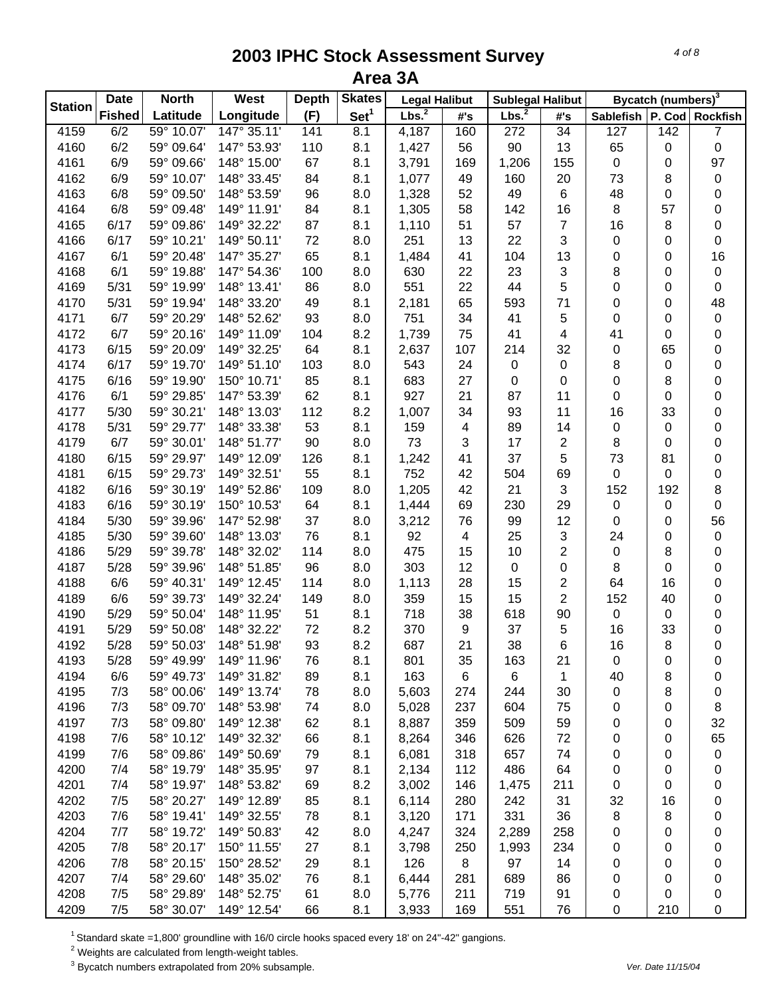| <b>Station</b><br>Lbs. <sup>2</sup><br>Set <sup>1</sup><br>Lbs. <sup>2</sup><br><b>Fished</b><br>Latitude<br>Longitude<br>(F)<br>#'s<br>Sablefish   P. Cod   Rockfish<br>#'s<br>59° 10.07'<br>147° 35.11'<br>$\overline{34}$<br>4159<br>6/2<br>141<br>8.1<br>4,187<br>160<br>272<br>127<br>142<br>$\overline{7}$<br>6/2<br>90<br>13<br>65<br>0<br>4160<br>59° 09.64'<br>147° 53.93'<br>110<br>8.1<br>1,427<br>56<br>0<br>6/9<br>67<br>8.1<br>97<br>4161<br>59° 09.66'<br>148° 15.00'<br>3,791<br>169<br>1,206<br>155<br>$\pmb{0}$<br>0<br>6/9<br>59° 10.07'<br>84<br>73<br>0<br>4162<br>148° 33.45'<br>8.1<br>1,077<br>49<br>160<br>20<br>8<br>6/8<br>96<br>52<br>49<br>$\,6$<br>4163<br>59° 09.50'<br>148° 53.59'<br>8.0<br>1,328<br>48<br>0<br>0<br>6/8<br>58<br>16<br>8<br>4164<br>59° 09.48'<br>149° 11.91'<br>84<br>8.1<br>1,305<br>142<br>57<br>0<br>87<br>51<br>$\overline{7}$<br>16<br>8<br>0<br>4165<br>6/17<br>59° 09.86'<br>149° 32.22'<br>8.1<br>1,110<br>57<br>6/17<br>59° 10.21'<br>149° 50.11'<br>72<br>251<br>13<br>22<br>3<br>$\boldsymbol{0}$<br>0<br>$\pmb{0}$<br>4166<br>8.0<br>16<br>6/1<br>65<br>104<br>13<br>$\boldsymbol{0}$<br>4167<br>59° 20.48'<br>147° 35.27'<br>8.1<br>1,484<br>41<br>0<br>3<br>6/1<br>22<br>23<br>8<br>$\pmb{0}$<br>4168<br>59° 19.88'<br>147° 54.36'<br>100<br>8.0<br>630<br>0<br>5<br>551<br>22<br>44<br>0<br>4169<br>5/31<br>59° 19.99'<br>148° 13.41'<br>86<br>8.0<br>0<br>0<br>71<br>48<br>65<br>593<br>0<br>4170<br>5/31<br>59° 19.94'<br>148° 33.20'<br>49<br>8.1<br>2,181<br>0<br>5<br>4171<br>6/7<br>59° 20.29'<br>148° 52.62'<br>93<br>8.0<br>751<br>34<br>41<br>0<br>0<br>$\pmb{0}$<br>6/7<br>104<br>75<br>41<br>0<br>4172<br>59° 20.16'<br>149° 11.09'<br>8.2<br>1,739<br>41<br>4<br>0 |
|--------------------------------------------------------------------------------------------------------------------------------------------------------------------------------------------------------------------------------------------------------------------------------------------------------------------------------------------------------------------------------------------------------------------------------------------------------------------------------------------------------------------------------------------------------------------------------------------------------------------------------------------------------------------------------------------------------------------------------------------------------------------------------------------------------------------------------------------------------------------------------------------------------------------------------------------------------------------------------------------------------------------------------------------------------------------------------------------------------------------------------------------------------------------------------------------------------------------------------------------------------------------------------------------------------------------------------------------------------------------------------------------------------------------------------------------------------------------------------------------------------------------------------------------------------------------------------------------------------------------------------------------------------------------------------------------------------------------------------------------------|
|                                                                                                                                                                                                                                                                                                                                                                                                                                                                                                                                                                                                                                                                                                                                                                                                                                                                                                                                                                                                                                                                                                                                                                                                                                                                                                                                                                                                                                                                                                                                                                                                                                                                                                                                                  |
|                                                                                                                                                                                                                                                                                                                                                                                                                                                                                                                                                                                                                                                                                                                                                                                                                                                                                                                                                                                                                                                                                                                                                                                                                                                                                                                                                                                                                                                                                                                                                                                                                                                                                                                                                  |
|                                                                                                                                                                                                                                                                                                                                                                                                                                                                                                                                                                                                                                                                                                                                                                                                                                                                                                                                                                                                                                                                                                                                                                                                                                                                                                                                                                                                                                                                                                                                                                                                                                                                                                                                                  |
|                                                                                                                                                                                                                                                                                                                                                                                                                                                                                                                                                                                                                                                                                                                                                                                                                                                                                                                                                                                                                                                                                                                                                                                                                                                                                                                                                                                                                                                                                                                                                                                                                                                                                                                                                  |
|                                                                                                                                                                                                                                                                                                                                                                                                                                                                                                                                                                                                                                                                                                                                                                                                                                                                                                                                                                                                                                                                                                                                                                                                                                                                                                                                                                                                                                                                                                                                                                                                                                                                                                                                                  |
|                                                                                                                                                                                                                                                                                                                                                                                                                                                                                                                                                                                                                                                                                                                                                                                                                                                                                                                                                                                                                                                                                                                                                                                                                                                                                                                                                                                                                                                                                                                                                                                                                                                                                                                                                  |
|                                                                                                                                                                                                                                                                                                                                                                                                                                                                                                                                                                                                                                                                                                                                                                                                                                                                                                                                                                                                                                                                                                                                                                                                                                                                                                                                                                                                                                                                                                                                                                                                                                                                                                                                                  |
|                                                                                                                                                                                                                                                                                                                                                                                                                                                                                                                                                                                                                                                                                                                                                                                                                                                                                                                                                                                                                                                                                                                                                                                                                                                                                                                                                                                                                                                                                                                                                                                                                                                                                                                                                  |
|                                                                                                                                                                                                                                                                                                                                                                                                                                                                                                                                                                                                                                                                                                                                                                                                                                                                                                                                                                                                                                                                                                                                                                                                                                                                                                                                                                                                                                                                                                                                                                                                                                                                                                                                                  |
|                                                                                                                                                                                                                                                                                                                                                                                                                                                                                                                                                                                                                                                                                                                                                                                                                                                                                                                                                                                                                                                                                                                                                                                                                                                                                                                                                                                                                                                                                                                                                                                                                                                                                                                                                  |
|                                                                                                                                                                                                                                                                                                                                                                                                                                                                                                                                                                                                                                                                                                                                                                                                                                                                                                                                                                                                                                                                                                                                                                                                                                                                                                                                                                                                                                                                                                                                                                                                                                                                                                                                                  |
|                                                                                                                                                                                                                                                                                                                                                                                                                                                                                                                                                                                                                                                                                                                                                                                                                                                                                                                                                                                                                                                                                                                                                                                                                                                                                                                                                                                                                                                                                                                                                                                                                                                                                                                                                  |
|                                                                                                                                                                                                                                                                                                                                                                                                                                                                                                                                                                                                                                                                                                                                                                                                                                                                                                                                                                                                                                                                                                                                                                                                                                                                                                                                                                                                                                                                                                                                                                                                                                                                                                                                                  |
|                                                                                                                                                                                                                                                                                                                                                                                                                                                                                                                                                                                                                                                                                                                                                                                                                                                                                                                                                                                                                                                                                                                                                                                                                                                                                                                                                                                                                                                                                                                                                                                                                                                                                                                                                  |
|                                                                                                                                                                                                                                                                                                                                                                                                                                                                                                                                                                                                                                                                                                                                                                                                                                                                                                                                                                                                                                                                                                                                                                                                                                                                                                                                                                                                                                                                                                                                                                                                                                                                                                                                                  |
| 6/15<br>64<br>32<br>4173<br>59° 20.09'<br>149° 32.25'<br>8.1<br>2,637<br>107<br>214<br>0<br>0<br>65                                                                                                                                                                                                                                                                                                                                                                                                                                                                                                                                                                                                                                                                                                                                                                                                                                                                                                                                                                                                                                                                                                                                                                                                                                                                                                                                                                                                                                                                                                                                                                                                                                              |
| 6/17<br>103<br>8<br>4174<br>59° 19.70'<br>149° 51.10'<br>8.0<br>543<br>24<br>0<br>$\pmb{0}$<br>$\pmb{0}$<br>0                                                                                                                                                                                                                                                                                                                                                                                                                                                                                                                                                                                                                                                                                                                                                                                                                                                                                                                                                                                                                                                                                                                                                                                                                                                                                                                                                                                                                                                                                                                                                                                                                                    |
| 85<br>683<br>27<br>4175<br>6/16<br>59° 19.90'<br>150° 10.71'<br>8.1<br>0<br>0<br>0<br>8<br>0                                                                                                                                                                                                                                                                                                                                                                                                                                                                                                                                                                                                                                                                                                                                                                                                                                                                                                                                                                                                                                                                                                                                                                                                                                                                                                                                                                                                                                                                                                                                                                                                                                                     |
| 6/1<br>62<br>927<br>21<br>4176<br>59° 29.85'<br>147° 53.39'<br>8.1<br>87<br>11<br>0<br>0<br>0                                                                                                                                                                                                                                                                                                                                                                                                                                                                                                                                                                                                                                                                                                                                                                                                                                                                                                                                                                                                                                                                                                                                                                                                                                                                                                                                                                                                                                                                                                                                                                                                                                                    |
| 5/30<br>59° 30.21'<br>112<br>8.2<br>34<br>93<br>11<br>16<br>148° 13.03'<br>1,007<br>33<br>0<br>4177                                                                                                                                                                                                                                                                                                                                                                                                                                                                                                                                                                                                                                                                                                                                                                                                                                                                                                                                                                                                                                                                                                                                                                                                                                                                                                                                                                                                                                                                                                                                                                                                                                              |
| 53<br>5/31<br>59° 29.77'<br>8.1<br>89<br>14<br>$\pmb{0}$<br>4178<br>148° 33.38'<br>159<br>$\overline{\mathbf{4}}$<br>$\pmb{0}$<br>0                                                                                                                                                                                                                                                                                                                                                                                                                                                                                                                                                                                                                                                                                                                                                                                                                                                                                                                                                                                                                                                                                                                                                                                                                                                                                                                                                                                                                                                                                                                                                                                                              |
| 6/7<br>59° 30.01'<br>90<br>73<br>$\sqrt{3}$<br>17<br>2<br>8<br>4179<br>148° 51.77'<br>8.0<br>0<br>0                                                                                                                                                                                                                                                                                                                                                                                                                                                                                                                                                                                                                                                                                                                                                                                                                                                                                                                                                                                                                                                                                                                                                                                                                                                                                                                                                                                                                                                                                                                                                                                                                                              |
| 5<br>126<br>41<br>37<br>73<br>0<br>4180<br>6/15<br>59° 29.97'<br>149° 12.09'<br>8.1<br>1,242<br>81                                                                                                                                                                                                                                                                                                                                                                                                                                                                                                                                                                                                                                                                                                                                                                                                                                                                                                                                                                                                                                                                                                                                                                                                                                                                                                                                                                                                                                                                                                                                                                                                                                               |
| 55<br>752<br>69<br>0<br>4181<br>6/15<br>59° 29.73'<br>149° 32.51'<br>8.1<br>42<br>504<br>0<br>$\mathbf 0$                                                                                                                                                                                                                                                                                                                                                                                                                                                                                                                                                                                                                                                                                                                                                                                                                                                                                                                                                                                                                                                                                                                                                                                                                                                                                                                                                                                                                                                                                                                                                                                                                                        |
| 8<br>6/16<br>59° 30.19'<br>109<br>1,205<br>42<br>21<br>3<br>152<br>192<br>4182<br>149° 52.86'<br>8.0                                                                                                                                                                                                                                                                                                                                                                                                                                                                                                                                                                                                                                                                                                                                                                                                                                                                                                                                                                                                                                                                                                                                                                                                                                                                                                                                                                                                                                                                                                                                                                                                                                             |
| 6/16<br>59° 30.19'<br>150° 10.53'<br>64<br>69<br>230<br>29<br>$\boldsymbol{0}$<br>$\pmb{0}$<br>4183<br>8.1<br>1,444<br>$\mathbf 0$                                                                                                                                                                                                                                                                                                                                                                                                                                                                                                                                                                                                                                                                                                                                                                                                                                                                                                                                                                                                                                                                                                                                                                                                                                                                                                                                                                                                                                                                                                                                                                                                               |
| 56<br>37<br>76<br>99<br>12<br>4184<br>5/30<br>59° 39.96'<br>147° 52.98'<br>8.0<br>3,212<br>0<br>0                                                                                                                                                                                                                                                                                                                                                                                                                                                                                                                                                                                                                                                                                                                                                                                                                                                                                                                                                                                                                                                                                                                                                                                                                                                                                                                                                                                                                                                                                                                                                                                                                                                |
| 76<br>3<br>$\mathbf 0$<br>4185<br>5/30<br>59° 39.60'<br>148° 13.03'<br>8.1<br>92<br>$\overline{4}$<br>25<br>24<br>0                                                                                                                                                                                                                                                                                                                                                                                                                                                                                                                                                                                                                                                                                                                                                                                                                                                                                                                                                                                                                                                                                                                                                                                                                                                                                                                                                                                                                                                                                                                                                                                                                              |
| $\overline{c}$<br>475<br>15<br>4186<br>5/29<br>59° 39.78'<br>148° 32.02'<br>114<br>8.0<br>10<br>$\pmb{0}$<br>8<br>0                                                                                                                                                                                                                                                                                                                                                                                                                                                                                                                                                                                                                                                                                                                                                                                                                                                                                                                                                                                                                                                                                                                                                                                                                                                                                                                                                                                                                                                                                                                                                                                                                              |
| 96<br>303<br>12<br>0<br>4187<br>5/28<br>59° 39.96'<br>148° 51.85'<br>8.0<br>0<br>0<br>8<br>0                                                                                                                                                                                                                                                                                                                                                                                                                                                                                                                                                                                                                                                                                                                                                                                                                                                                                                                                                                                                                                                                                                                                                                                                                                                                                                                                                                                                                                                                                                                                                                                                                                                     |
| $\overline{c}$<br>0<br>4188<br>6/6<br>59° 40.31'<br>114<br>8.0<br>1,113<br>28<br>15<br>64<br>16<br>149° 12.45'                                                                                                                                                                                                                                                                                                                                                                                                                                                                                                                                                                                                                                                                                                                                                                                                                                                                                                                                                                                                                                                                                                                                                                                                                                                                                                                                                                                                                                                                                                                                                                                                                                   |
| $\overline{2}$<br>15<br>0<br>4189<br>6/6<br>59° 39.73'<br>149° 32.24'<br>149<br>8.0<br>359<br>15<br>152<br>40                                                                                                                                                                                                                                                                                                                                                                                                                                                                                                                                                                                                                                                                                                                                                                                                                                                                                                                                                                                                                                                                                                                                                                                                                                                                                                                                                                                                                                                                                                                                                                                                                                    |
| 4190<br>5/29<br>59° 50.04'<br>148° 11.95'<br>51<br>718<br>38<br>618<br>90<br>0<br>0<br>8.1<br>0                                                                                                                                                                                                                                                                                                                                                                                                                                                                                                                                                                                                                                                                                                                                                                                                                                                                                                                                                                                                                                                                                                                                                                                                                                                                                                                                                                                                                                                                                                                                                                                                                                                  |
| 72<br>370<br>4191<br>5/29<br>59° 50.08'<br>148° 32.22'<br>8.2<br>9<br>37<br>16<br>33<br>0<br>5                                                                                                                                                                                                                                                                                                                                                                                                                                                                                                                                                                                                                                                                                                                                                                                                                                                                                                                                                                                                                                                                                                                                                                                                                                                                                                                                                                                                                                                                                                                                                                                                                                                   |
| 93<br>687<br>38<br>8<br>0<br>4192<br>5/28<br>59° 50.03'<br>148° 51.98'<br>8.2<br>21<br>6<br>16                                                                                                                                                                                                                                                                                                                                                                                                                                                                                                                                                                                                                                                                                                                                                                                                                                                                                                                                                                                                                                                                                                                                                                                                                                                                                                                                                                                                                                                                                                                                                                                                                                                   |
| 5/28<br>4193<br>59° 49.99'<br>149° 11.96'<br>8.1<br>801<br>35<br>163<br>21<br>76<br>0<br>0<br>0                                                                                                                                                                                                                                                                                                                                                                                                                                                                                                                                                                                                                                                                                                                                                                                                                                                                                                                                                                                                                                                                                                                                                                                                                                                                                                                                                                                                                                                                                                                                                                                                                                                  |
| 4194<br>6/6<br>59° 49.73'<br>149° 31.82'<br>8.1<br>163<br>6<br>$\mathbf{1}$<br>8<br>89<br>6<br>40<br>0                                                                                                                                                                                                                                                                                                                                                                                                                                                                                                                                                                                                                                                                                                                                                                                                                                                                                                                                                                                                                                                                                                                                                                                                                                                                                                                                                                                                                                                                                                                                                                                                                                           |
| 7/3<br>58° 00.06'<br>149° 13.74'<br>78<br>5,603<br>8<br>4195<br>8.0<br>274<br>244<br>30<br>0<br>0                                                                                                                                                                                                                                                                                                                                                                                                                                                                                                                                                                                                                                                                                                                                                                                                                                                                                                                                                                                                                                                                                                                                                                                                                                                                                                                                                                                                                                                                                                                                                                                                                                                |
| 4196<br>58° 09.70'<br>5,028<br>237<br>7/3<br>148° 53.98'<br>74<br>8.0<br>604<br>75<br>0<br>0<br>8                                                                                                                                                                                                                                                                                                                                                                                                                                                                                                                                                                                                                                                                                                                                                                                                                                                                                                                                                                                                                                                                                                                                                                                                                                                                                                                                                                                                                                                                                                                                                                                                                                                |
| 7/3<br>58° 09.80'<br>149° 12.38'<br>62<br>8.1<br>8,887<br>359<br>509<br>59<br>32<br>4197<br>0<br>0                                                                                                                                                                                                                                                                                                                                                                                                                                                                                                                                                                                                                                                                                                                                                                                                                                                                                                                                                                                                                                                                                                                                                                                                                                                                                                                                                                                                                                                                                                                                                                                                                                               |
| 65<br>4198<br>7/6<br>58° 10.12'<br>149° 32.32'<br>66<br>8.1<br>8,264<br>346<br>626<br>72<br>0<br>0                                                                                                                                                                                                                                                                                                                                                                                                                                                                                                                                                                                                                                                                                                                                                                                                                                                                                                                                                                                                                                                                                                                                                                                                                                                                                                                                                                                                                                                                                                                                                                                                                                               |
| 7/6<br>58° 09.86'<br>149° 50.69'<br>6,081<br>318<br>$\pmb{0}$<br>4199<br>79<br>8.1<br>657<br>74<br>0<br>0                                                                                                                                                                                                                                                                                                                                                                                                                                                                                                                                                                                                                                                                                                                                                                                                                                                                                                                                                                                                                                                                                                                                                                                                                                                                                                                                                                                                                                                                                                                                                                                                                                        |
| 4200<br>7/4<br>58° 19.79'<br>148° 35.95'<br>2,134<br>112<br>486<br>64<br>97<br>8.1<br>0<br>0<br>0                                                                                                                                                                                                                                                                                                                                                                                                                                                                                                                                                                                                                                                                                                                                                                                                                                                                                                                                                                                                                                                                                                                                                                                                                                                                                                                                                                                                                                                                                                                                                                                                                                                |
| 4201<br>7/4<br>58° 19.97'<br>148° 53.82'<br>8.2<br>211<br>69<br>3,002<br>146<br>1,475<br>0<br>0<br>0                                                                                                                                                                                                                                                                                                                                                                                                                                                                                                                                                                                                                                                                                                                                                                                                                                                                                                                                                                                                                                                                                                                                                                                                                                                                                                                                                                                                                                                                                                                                                                                                                                             |
| 7/5<br>58° 20.27'<br>149° 12.89'<br>31<br>4202<br>85<br>8.1<br>6,114<br>280<br>242<br>32<br>16<br>0                                                                                                                                                                                                                                                                                                                                                                                                                                                                                                                                                                                                                                                                                                                                                                                                                                                                                                                                                                                                                                                                                                                                                                                                                                                                                                                                                                                                                                                                                                                                                                                                                                              |
| 4203<br>7/6<br>331<br>36<br>58° 19.41'<br>149° 32.55'<br>78<br>8.1<br>3,120<br>171<br>8<br>8<br>0                                                                                                                                                                                                                                                                                                                                                                                                                                                                                                                                                                                                                                                                                                                                                                                                                                                                                                                                                                                                                                                                                                                                                                                                                                                                                                                                                                                                                                                                                                                                                                                                                                                |
| 4204<br>7/7<br>58° 19.72'<br>149° 50.83'<br>42<br>8.0<br>4,247<br>324<br>2,289<br>258<br>0<br>0<br>0                                                                                                                                                                                                                                                                                                                                                                                                                                                                                                                                                                                                                                                                                                                                                                                                                                                                                                                                                                                                                                                                                                                                                                                                                                                                                                                                                                                                                                                                                                                                                                                                                                             |
| 4205<br>7/8<br>58° 20.17'<br>150° 11.55'<br>27<br>8.1<br>3,798<br>250<br>1,993<br>234<br>0<br>0                                                                                                                                                                                                                                                                                                                                                                                                                                                                                                                                                                                                                                                                                                                                                                                                                                                                                                                                                                                                                                                                                                                                                                                                                                                                                                                                                                                                                                                                                                                                                                                                                                                  |
| 0<br>4206<br>7/8<br>58° 20.15'<br>150° 28.52'<br>29<br>126<br>8<br>97<br>14<br>8.1<br>0<br>0                                                                                                                                                                                                                                                                                                                                                                                                                                                                                                                                                                                                                                                                                                                                                                                                                                                                                                                                                                                                                                                                                                                                                                                                                                                                                                                                                                                                                                                                                                                                                                                                                                                     |
| 0<br>4207<br>7/4<br>58° 29.60'<br>148° 35.02'<br>76<br>6,444<br>689<br>8.1<br>281<br>86<br>0<br>0<br>0                                                                                                                                                                                                                                                                                                                                                                                                                                                                                                                                                                                                                                                                                                                                                                                                                                                                                                                                                                                                                                                                                                                                                                                                                                                                                                                                                                                                                                                                                                                                                                                                                                           |
| 58° 29.89'<br>4208<br>7/5<br>148° 52.75'<br>61<br>5,776<br>719<br>91<br>0<br>8.0<br>211<br>0<br>0                                                                                                                                                                                                                                                                                                                                                                                                                                                                                                                                                                                                                                                                                                                                                                                                                                                                                                                                                                                                                                                                                                                                                                                                                                                                                                                                                                                                                                                                                                                                                                                                                                                |
| 4209<br>7/5<br>58° 30.07'<br>149° 12.54'<br>66<br>8.1<br>3,933<br>169<br>551<br>76<br>0<br>210<br>0                                                                                                                                                                                                                                                                                                                                                                                                                                                                                                                                                                                                                                                                                                                                                                                                                                                                                                                                                                                                                                                                                                                                                                                                                                                                                                                                                                                                                                                                                                                                                                                                                                              |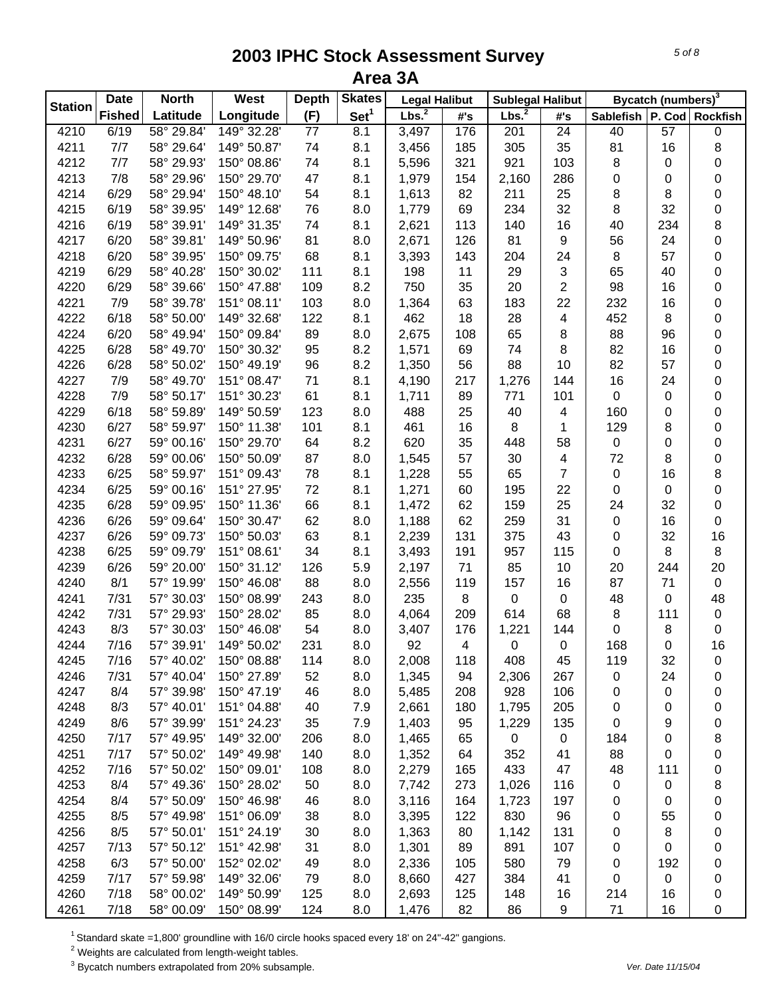| <b>Station</b> | <b>Date</b>   | <b>North</b> | West        | <b>Depth</b>    | <b>Skates</b>    | <b>Legal Halibut</b> |     | <b>Sublegal Halibut</b> |                          |                               | Bycatch (numbers) <sup>3</sup> |           |
|----------------|---------------|--------------|-------------|-----------------|------------------|----------------------|-----|-------------------------|--------------------------|-------------------------------|--------------------------------|-----------|
|                | <b>Fished</b> | Latitude     | Longitude   | (F)             | Set <sup>1</sup> | Lbs. <sup>2</sup>    | #'s | Lbs. <sup>2</sup>       | #'s                      | Sablefish   P. Cod   Rockfish |                                |           |
| 4210           | 6/19          | 58° 29.84'   | 149° 32.28' | $\overline{77}$ | 8.1              | 3,497                | 176 | 201                     | 24                       | 40                            | 57                             | $\pmb{0}$ |
| 4211           | 7/7           | 58° 29.64'   | 149° 50.87' | 74              | 8.1              | 3,456                | 185 | 305                     | 35                       | 81                            | 16                             | 8         |
| 4212           | 7/7           | 58° 29.93'   | 150° 08.86' | 74              | 8.1              | 5,596                | 321 | 921                     | 103                      | 8                             | 0                              | 0         |
| 4213           | 7/8           | 58° 29.96'   | 150° 29.70' | 47              | 8.1              | 1,979                | 154 | 2,160                   | 286                      | 0                             | 0                              | 0         |
| 4214           | 6/29          | 58° 29.94'   | 150° 48.10' | 54              | 8.1              | 1,613                | 82  | 211                     | 25                       | 8                             | 8                              | 0         |
| 4215           | 6/19          | 58° 39.95'   | 149° 12.68' | 76              | 8.0              | 1,779                | 69  | 234                     | 32                       | $\bf 8$                       | 32                             | $\pmb{0}$ |
| 4216           | 6/19          | 58° 39.91'   | 149° 31.35' | 74              | 8.1              | 2,621                | 113 | 140                     | 16                       | 40                            | 234                            | 8         |
| 4217           | 6/20          | 58° 39.81'   | 149° 50.96' | 81              | 8.0              | 2,671                | 126 | 81                      | 9                        | 56                            | 24                             | $\pmb{0}$ |
| 4218           | 6/20          | 58° 39.95'   | 150° 09.75' | 68              | 8.1              | 3,393                | 143 | 204                     | 24                       | 8                             | 57                             | $\pmb{0}$ |
| 4219           | 6/29          | 58° 40.28'   | 150° 30.02' | 111             | 8.1              | 198                  | 11  | 29                      | $\mathbf{3}$             | 65                            | 40                             | 0         |
| 4220           | 6/29          | 58° 39.66'   | 150° 47.88' | 109             | 8.2              | 750                  | 35  | 20                      | $\overline{2}$           | 98                            | 16                             | 0         |
| 4221           | 7/9           | 58° 39.78'   | 151° 08.11' | 103             | 8.0              | 1,364                | 63  | 183                     | 22                       | 232                           | 16                             | 0         |
| 4222           | 6/18          | 58° 50.00    | 149° 32.68' | 122             | 8.1              | 462                  | 18  | 28                      | 4                        | 452                           | 8                              | 0         |
| 4224           | 6/20          | 58° 49.94'   | 150° 09.84' | 89              | 8.0              | 2,675                | 108 | 65                      | 8                        | 88                            | 96                             | 0         |
| 4225           | 6/28          | 58° 49.70'   | 150° 30.32' | 95              | 8.2              | 1,571                | 69  | 74                      | 8                        | 82                            | 16                             | 0         |
| 4226           | 6/28          | 58° 50.02'   | 150° 49.19' | 96              | 8.2              | 1,350                | 56  | 88                      | 10                       | 82                            | 57                             | $\pmb{0}$ |
| 4227           | 7/9           | 58° 49.70'   | 151° 08.47' | 71              | 8.1              | 4,190                | 217 | 1,276                   | 144                      | 16                            | 24                             | 0         |
| 4228           | 7/9           | 58° 50.17'   | 151° 30.23' | 61              | 8.1              | 1,711                | 89  | 771                     | 101                      | $\mathbf 0$                   | 0                              | 0         |
| 4229           | 6/18          | 58° 59.89'   | 149° 50.59' | 123             | 8.0              | 488                  | 25  | 40                      | $\overline{\mathcal{A}}$ | 160                           | 0                              | 0         |
| 4230           | 6/27          | 58° 59.97'   | 150° 11.38' | 101             | 8.1              | 461                  | 16  | 8                       | $\mathbf{1}$             | 129                           | 8                              | 0         |
| 4231           | 6/27          | 59° 00.16'   | 150° 29.70' | 64              | 8.2              | 620                  | 35  | 448                     | 58                       | $\pmb{0}$                     | 0                              | 0         |
| 4232           | 6/28          | 59° 00.06'   | 150° 50.09' | 87              | 8.0              | 1,545                | 57  | 30                      | $\overline{\mathcal{A}}$ | 72                            | 8                              | $\pmb{0}$ |
| 4233           | 6/25          | 58° 59.97'   | 151° 09.43' | 78              | 8.1              | 1,228                | 55  | 65                      | $\overline{7}$           | $\mathsf 0$                   | 16                             | 8         |
| 4234           | 6/25          | 59° 00.16'   | 151° 27.95' | 72              | 8.1              | 1,271                | 60  | 195                     | 22                       | $\pmb{0}$                     | 0                              | $\pmb{0}$ |
| 4235           | 6/28          | 59° 09.95'   | 150° 11.36' | 66              | 8.1              | 1,472                | 62  | 159                     | 25                       | 24                            | 32                             | $\pmb{0}$ |
| 4236           | 6/26          | 59° 09.64'   | 150° 30.47' | 62              | 8.0              |                      | 62  |                         | 31                       | $\pmb{0}$                     | 16                             | $\pmb{0}$ |
|                |               | 59° 09.73'   | 150° 50.03' |                 |                  | 1,188                | 131 | 259                     | 43                       | $\pmb{0}$                     |                                |           |
| 4237<br>4238   | 6/26          | 59° 09.79'   | 151° 08.61' | 63              | 8.1              | 2,239                |     | 375                     | 115                      | $\pmb{0}$                     | 32                             | 16        |
|                | 6/25          |              |             | 34              | 8.1              | 3,493                | 191 | 957                     |                          |                               | 8                              | 8         |
| 4239           | 6/26          | 59° 20.00'   | 150° 31.12' | 126             | 5.9              | 2,197                | 71  | 85                      | 10                       | 20                            | 244                            | 20        |
| 4240           | 8/1           | 57° 19.99'   | 150° 46.08' | 88              | 8.0              | 2,556                | 119 | 157                     | 16                       | 87                            | 71                             | $\pmb{0}$ |
| 4241           | 7/31          | 57° 30.03'   | 150° 08.99' | 243             | 8.0              | 235                  | 8   | 0                       | $\pmb{0}$                | 48                            | 0                              | 48        |
| 4242           | 7/31          | 57° 29.93'   | 150° 28.02' | 85              | 8.0              | 4,064                | 209 | 614                     | 68                       | 8                             | 111                            | $\pmb{0}$ |
| 4243           | 8/3           | 57° 30.03'   | 150° 46.08' | 54              | 8.0              | 3,407                | 176 | 1,221                   | 144                      | 0                             | 8                              | $\pmb{0}$ |
| 4244           | 7/16          | 57° 39.91'   | 149° 50.02' | 231             | 8.0              | 92                   | 4   | $\pmb{0}$               | $\pmb{0}$                | 168                           | 0                              | 16        |
| 4245           | 7/16          | 57° 40.02'   | 150° 08.88' | 114             | 8.0              | 2,008                | 118 | 408                     | 45                       | 119                           | 32                             | 0         |
| 4246           | 7/31          | 57° 40.04'   | 150° 27.89' | 52              | 8.0              | 1,345                | 94  | 2,306                   | 267                      | 0                             | 24                             | 0         |
| 4247           | 8/4           | 57° 39.98'   | 150° 47.19' | 46              | 8.0              | 5,485                | 208 | 928                     | 106                      | 0                             | 0                              | 0         |
| 4248           | 8/3           | 57° 40.01'   | 151° 04.88' | 40              | 7.9              | 2,661                | 180 | 1,795                   | 205                      | 0                             | 0                              | 0         |
| 4249           | 8/6           | 57° 39.99'   | 151° 24.23' | 35              | 7.9              | 1,403                | 95  | 1,229                   | 135                      | 0                             | 9                              | 0         |
| 4250           | 7/17          | 57° 49.95'   | 149° 32.00' | 206             | 8.0              | 1,465                | 65  | 0                       | $\mathsf 0$              | 184                           | 0                              | 8         |
| 4251           | 7/17          | 57° 50.02'   | 149° 49.98' | 140             | 8.0              | 1,352                | 64  | 352                     | 41                       | 88                            | 0                              | 0         |
| 4252           | 7/16          | 57° 50.02'   | 150° 09.01' | 108             | 8.0              | 2,279                | 165 | 433                     | 47                       | 48                            | 111                            | 0         |
| 4253           | 8/4           | 57° 49.36'   | 150° 28.02' | 50              | 8.0              | 7,742                | 273 | 1,026                   | 116                      | 0                             | 0                              | 8         |
| 4254           | 8/4           | 57° 50.09'   | 150° 46.98' | 46              | 8.0              | 3,116                | 164 | 1,723                   | 197                      | 0                             | 0                              | 0         |
| 4255           | 8/5           | 57° 49.98'   | 151° 06.09' | 38              | 8.0              | 3,395                | 122 | 830                     | 96                       | 0                             | 55                             | 0         |
| 4256           | 8/5           | 57° 50.01'   | 151° 24.19' | 30              | 8.0              | 1,363                | 80  | 1,142                   | 131                      | 0                             | 8                              | 0         |
| 4257           | 7/13          | 57° 50.12'   | 151° 42.98' | 31              | 8.0              | 1,301                | 89  | 891                     | 107                      | 0                             | 0                              | 0         |
| 4258           | 6/3           | 57° 50.00'   | 152° 02.02' | 49              | 8.0              | 2,336                | 105 | 580                     | 79                       | 0                             | 192                            | 0         |
| 4259           | 7/17          | 57° 59.98'   | 149° 32.06' | 79              | 8.0              | 8,660                | 427 | 384                     | 41                       | 0                             | 0                              | 0         |
| 4260           | 7/18          | 58° 00.02'   | 149° 50.99' | 125             | 8.0              | 2,693                | 125 | 148                     | 16                       | 214                           | 16                             | 0         |
| 4261           | 7/18          | 58° 00.09'   | 150° 08.99' | 124             | 8.0              | 1,476                | 82  | 86                      | 9                        | 71                            | 16                             | 0         |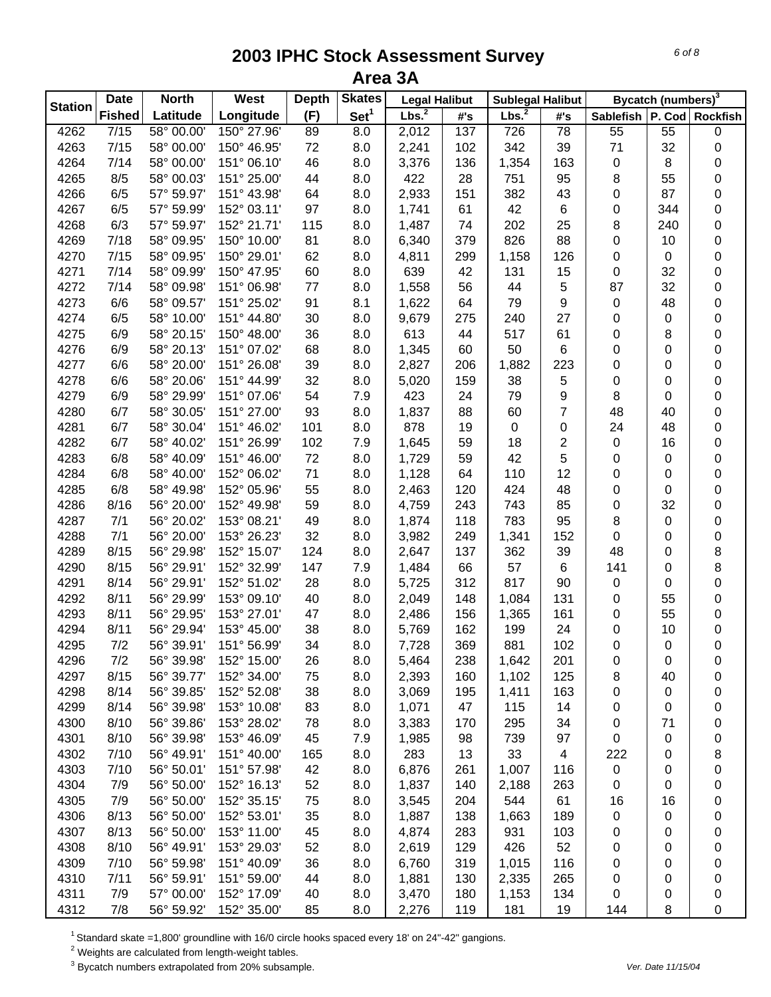| <b>Station</b> | <b>Date</b>   | <b>North</b> | West        | <b>Depth</b> | <b>Skates</b>    | <b>Legal Halibut</b> |     | <b>Sublegal Halibut</b> |                |                               | Bycatch (numbers) <sup>3</sup> |           |
|----------------|---------------|--------------|-------------|--------------|------------------|----------------------|-----|-------------------------|----------------|-------------------------------|--------------------------------|-----------|
|                | <b>Fished</b> | Latitude     | Longitude   | (F)          | Set <sup>1</sup> | Lbs. <sup>2</sup>    | #'s | Lbs. <sup>2</sup>       | #'s            | Sablefish   P. Cod   Rockfish |                                |           |
| 4262           | 7/15          | 58° 00.00'   | 150° 27.96' | 89           | $\overline{8.0}$ | 2,012                | 137 | 726                     | 78             | $\overline{55}$               | $\overline{55}$                | 0         |
| 4263           | 7/15          | 58° 00.00'   | 150° 46.95' | 72           | 8.0              | 2,241                | 102 | 342                     | 39             | 71                            | 32                             | 0         |
| 4264           | 7/14          | 58° 00.00'   | 151° 06.10' | 46           | 8.0              | 3,376                | 136 | 1,354                   | 163            | $\pmb{0}$                     | 8                              | 0         |
| 4265           | 8/5           | 58° 00.03'   | 151° 25.00' | 44           | 8.0              | 422                  | 28  | 751                     | 95             | 8                             | 55                             | 0         |
| 4266           | 6/5           | 57° 59.97'   | 151° 43.98' | 64           | 8.0              | 2,933                | 151 | 382                     | 43             | 0                             | 87                             | 0         |
| 4267           | 6/5           | 57° 59.99'   | 152° 03.11' | 97           | 8.0              | 1,741                | 61  | 42                      | 6              | $\pmb{0}$                     | 344                            | $\pmb{0}$ |
| 4268           | 6/3           | 57° 59.97'   | 152° 21.71' | 115          | 8.0              | 1,487                | 74  | 202                     | 25             | 8                             | 240                            | $\pmb{0}$ |
| 4269           | 7/18          | 58° 09.95'   | 150° 10.00' | 81           | 8.0              | 6,340                | 379 | 826                     | 88             | 0                             | 10                             | $\pmb{0}$ |
| 4270           | 7/15          | 58° 09.95'   | 150° 29.01' | 62           | 8.0              | 4,811                | 299 | 1,158                   | 126            | 0                             | 0                              | 0         |
| 4271           | 7/14          | 58° 09.99'   | 150° 47.95' | 60           | 8.0              | 639                  | 42  | 131                     | 15             | $\pmb{0}$                     | 32                             | 0         |
| 4272           | 7/14          | 58° 09.98'   | 151° 06.98' | 77           | 8.0              | 1,558                | 56  | 44                      | 5              | 87                            | 32                             | 0         |
| 4273           | 6/6           | 58° 09.57'   | 151° 25.02' | 91           | 8.1              | 1,622                | 64  | 79                      | 9              | 0                             | 48                             | 0         |
| 4274           | 6/5           | 58° 10.00'   | 151° 44.80' | 30           | 8.0              | 9,679                | 275 | 240                     | 27             | 0                             | 0                              | 0         |
| 4275           | 6/9           | 58° 20.15'   | 150° 48.00' | 36           | 8.0              | 613                  | 44  | 517                     | 61             | 0                             | 8                              | 0         |
| 4276           | 6/9           | 58° 20.13'   | 151° 07.02' | 68           | 8.0              | 1,345                | 60  | 50                      | 6              | 0                             | 0                              | 0         |
| 4277           | 6/6           | 58° 20.00'   | 151° 26.08' | 39           | 8.0              | 2,827                | 206 | 1,882                   | 223            | 0                             | 0                              | 0         |
| 4278           | 6/6           | 58° 20.06'   | 151° 44.99' | 32           | 8.0              | 5,020                | 159 | 38                      | 5              | 0                             | 0                              | 0         |
| 4279           | 6/9           | 58° 29.99'   | 151° 07.06' | 54           | 7.9              | 423                  | 24  | 79                      | 9              | 8                             | 0                              | 0         |
| 4280           | 6/7           | 58° 30.05'   | 151° 27.00' | 93           | 8.0              | 1,837                | 88  | 60                      | $\overline{7}$ | 48                            | 40                             | 0         |
| 4281           | 6/7           | 58° 30.04'   | 151° 46.02' | 101          | 8.0              | 878                  | 19  | 0                       | 0              | 24                            | 48                             | 0         |
| 4282           | 6/7           | 58° 40.02'   | 151° 26.99' | 102          | 7.9              | 1,645                | 59  | 18                      | $\overline{2}$ | $\pmb{0}$                     | 16                             | 0         |
| 4283           | 6/8           | 58° 40.09'   | 151° 46.00' | 72           | 8.0              | 1,729                | 59  | 42                      | 5              | $\pmb{0}$                     | 0                              | $\pmb{0}$ |
| 4284           | 6/8           | 58° 40.00'   | 152° 06.02' | 71           | 8.0              | 1,128                | 64  | 110                     | 12             | 0                             | 0                              | $\pmb{0}$ |
| 4285           | 6/8           | 58° 49.98'   | 152° 05.96' | 55           | 8.0              | 2,463                | 120 | 424                     | 48             | 0                             | 0                              | $\pmb{0}$ |
| 4286           | 8/16          | 56° 20.00'   | 152° 49.98' | 59           | 8.0              | 4,759                | 243 | 743                     | 85             | $\pmb{0}$                     | 32                             | 0         |
| 4287           | 7/1           | 56° 20.02'   | 153° 08.21' | 49           | 8.0              | 1,874                | 118 | 783                     | 95             | 8                             | 0                              | 0         |
| 4288           | 7/1           | 56° 20.00'   | 153° 26.23' | 32           | 8.0              | 3,982                | 249 | 1,341                   | 152            | $\pmb{0}$                     | 0                              | 0         |
| 4289           | 8/15          | 56° 29.98'   | 152° 15.07' | 124          | 8.0              | 2,647                | 137 | 362                     | 39             | 48                            | 0                              | 8         |
| 4290           | 8/15          | 56° 29.91'   | 152° 32.99' | 147          | 7.9              | 1,484                | 66  | 57                      | 6              | 141                           | 0                              | 8         |
| 4291           | 8/14          | 56° 29.91'   | 152° 51.02' | 28           | 8.0              | 5,725                | 312 | 817                     | 90             | 0                             | 0                              | 0         |
| 4292           | 8/11          | 56° 29.99'   | 153° 09.10' | 40           | 8.0              | 2,049                | 148 | 1,084                   | 131            | 0                             | 55                             | 0         |
| 4293           | 8/11          | 56° 29.95'   | 153° 27.01' | 47           | 8.0              | 2,486                | 156 | 1,365                   | 161            | 0                             | 55                             | $\pmb{0}$ |
| 4294           | 8/11          | 56° 29.94'   | 153° 45.00' | 38           | 8.0              | 5,769                | 162 | 199                     | 24             | 0                             | 10                             | 0         |
| 4295           | 7/2           | 56° 39.91'   | 151° 56.99' | 34           | 8.0              | 7,728                | 369 | 881                     | 102            | 0                             | 0                              | 0         |
| 4296           | 7/2           | 56° 39.98'   | 152° 15.00' | 26           | 8.0              | 5,464                | 238 | 1,642                   | 201            | 0                             | 0                              | 0         |
| 4297           | 8/15          | 56° 39.77'   | 152° 34.00' | 75           | 8.0              | 2,393                | 160 | 1,102                   | 125            | 8                             | 40                             | 0         |
| 4298           | 8/14          | 56° 39.85'   | 152° 52.08' | 38           | 8.0              | 3,069                | 195 | 1,411                   | 163            | 0                             | 0                              | 0         |
| 4299           | 8/14          | 56° 39.98'   | 153° 10.08' | 83           | 8.0              | 1,071                | 47  | 115                     | 14             | 0                             | 0                              | 0         |
| 4300           | 8/10          | 56° 39.86'   | 153° 28.02' | 78           | 8.0              | 3,383                | 170 | 295                     | 34             | 0                             | 71                             | 0         |
| 4301           | 8/10          | 56° 39.98'   | 153° 46.09' | 45           | 7.9              | 1,985                | 98  | 739                     | 97             | $\mathbf 0$                   | 0                              | 0         |
| 4302           | 7/10          | 56° 49.91'   | 151° 40.00' | 165          | 8.0              | 283                  | 13  | 33                      | 4              | 222                           | 0                              | 8         |
| 4303           | 7/10          | 56° 50.01'   | 151° 57.98' | 42           | 8.0              | 6,876                | 261 | 1,007                   | 116            | $\pmb{0}$                     | 0                              | 0         |
| 4304           | 7/9           | 56° 50.00'   | 152° 16.13' | 52           | 8.0              | 1,837                | 140 | 2,188                   | 263            | 0                             | 0                              | 0         |
| 4305           | 7/9           | 56° 50.00'   | 152° 35.15' | 75           | 8.0              | 3,545                | 204 | 544                     | 61             | 16                            | 16                             | 0         |
| 4306           | 8/13          | 56° 50.00'   | 152° 53.01' | 35           | 8.0              | 1,887                | 138 | 1,663                   | 189            | 0                             | 0                              | 0         |
| 4307           | 8/13          | 56° 50.00'   | 153° 11.00' | 45           | 8.0              | 4,874                | 283 | 931                     | 103            | 0                             | 0                              | 0         |
| 4308           | 8/10          | 56° 49.91'   | 153° 29.03' | 52           | 8.0              | 2,619                | 129 | 426                     | 52             | 0                             | 0                              | 0         |
| 4309           | 7/10          | 56° 59.98'   | 151° 40.09' | 36           | 8.0              | 6,760                | 319 | 1,015                   | 116            | 0                             | 0                              | 0         |
| 4310           | 7/11          | 56° 59.91'   | 151° 59.00' | 44           | 8.0              | 1,881                | 130 | 2,335                   | 265            | 0                             | 0                              | 0         |
| 4311           | 7/9           | 57° 00.00'   | 152° 17.09' | 40           | 8.0              | 3,470                | 180 | 1,153                   | 134            | 0                             | 0                              | 0         |
| 4312           | 7/8           | 56° 59.92'   | 152° 35.00' | 85           | 8.0              | 2,276                | 119 | 181                     | 19             | 144                           | 8                              | 0         |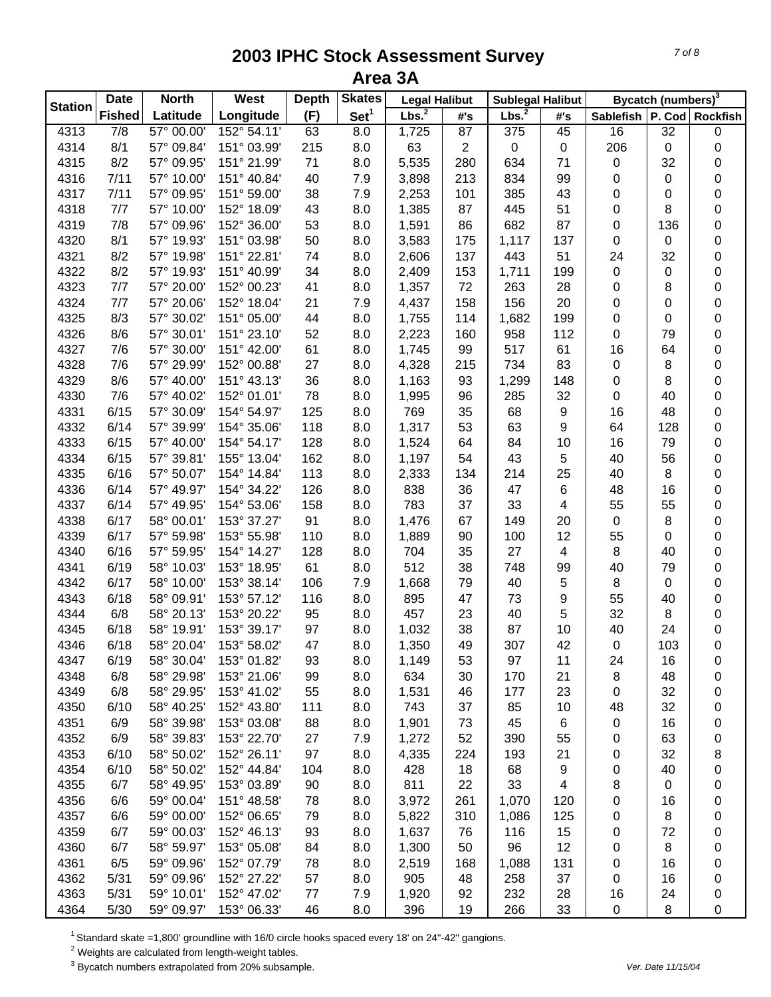| <b>Station</b> | <b>Date</b>      | <b>North</b> | West        | <b>Depth</b> | <b>Skates</b>    | <b>Legal Halibut</b> |                | <b>Sublegal Halibut</b> |                         |                               | Bycatch (numbers) <sup>3</sup> |           |
|----------------|------------------|--------------|-------------|--------------|------------------|----------------------|----------------|-------------------------|-------------------------|-------------------------------|--------------------------------|-----------|
|                | <b>Fished</b>    | Latitude     | Longitude   | (F)          | Set <sup>1</sup> | Lbs. <sup>2</sup>    | #'s            | Lbs. <sup>2</sup>       | #'s                     | Sablefish   P. Cod   Rockfish |                                |           |
| 4313           | $\overline{7/8}$ | 57° 00.00    | 152° 54.11' | 63           | $\overline{8.0}$ | 1,725                | 87             | 375                     | 45                      | 16                            | 32                             | 0         |
| 4314           | 8/1              | 57° 09.84'   | 151° 03.99' | 215          | 8.0              | 63                   | $\overline{2}$ | $\pmb{0}$               | $\pmb{0}$               | 206                           | 0                              | 0         |
| 4315           | 8/2              | 57° 09.95'   | 151° 21.99' | 71           | 8.0              | 5,535                | 280            | 634                     | 71                      | 0                             | 32                             | 0         |
| 4316           | 7/11             | 57° 10.00'   | 151° 40.84' | 40           | 7.9              | 3,898                | 213            | 834                     | 99                      | 0                             | 0                              | 0         |
| 4317           | 7/11             | 57° 09.95'   | 151° 59.00' | 38           | 7.9              | 2,253                | 101            | 385                     | 43                      | 0                             | 0                              | $\pmb{0}$ |
| 4318           | 7/7              | 57° 10.00'   | 152° 18.09' | 43           | 8.0              | 1,385                | 87             | 445                     | 51                      | 0                             | 8                              | $\pmb{0}$ |
| 4319           | 7/8              | 57° 09.96'   | 152° 36.00' | 53           | 8.0              | 1,591                | 86             | 682                     | 87                      | 0                             | 136                            | $\pmb{0}$ |
| 4320           | 8/1              | 57° 19.93'   | 151° 03.98' | 50           | 8.0              | 3,583                | 175            | 1,117                   | 137                     | $\mathbf 0$                   | 0                              | 0         |
| 4321           | 8/2              | 57° 19.98'   | 151° 22.81' | 74           | 8.0              | 2,606                | 137            | 443                     | 51                      | 24                            | 32                             | 0         |
| 4322           | 8/2              | 57° 19.93'   | 151° 40.99' | 34           | 8.0              | 2,409                | 153            | 1,711                   | 199                     | $\pmb{0}$                     | 0                              | 0         |
| 4323           | 7/7              | 57° 20.00    | 152° 00.23' | 41           | 8.0              | 1,357                | 72             | 263                     | 28                      | 0                             | 8                              | 0         |
| 4324           | 7/7              | 57° 20.06'   | 152° 18.04' | 21           | 7.9              | 4,437                | 158            | 156                     | 20                      | 0                             | 0                              | 0         |
| 4325           | 8/3              | 57° 30.02'   | 151° 05.00' | 44           | 8.0              | 1,755                | 114            | 1,682                   | 199                     | 0                             | 0                              | 0         |
| 4326           | 8/6              | 57° 30.01'   | 151° 23.10' | 52           | 8.0              | 2,223                | 160            | 958                     | 112                     | 0                             | 79                             | 0         |
| 4327           | 7/6              | 57° 30.00'   | 151° 42.00' | 61           | 8.0              | 1,745                | 99             | 517                     | 61                      | 16                            | 64                             | 0         |
| 4328           | 7/6              | 57° 29.99'   | 152° 00.88' | 27           | 8.0              | 4,328                | 215            | 734                     | 83                      | 0                             | 8                              | 0         |
| 4329           | 8/6              | 57° 40.00'   | 151° 43.13' | 36           | 8.0              | 1,163                | 93             | 1,299                   | 148                     | 0                             | 8                              | 0         |
| 4330           | 7/6              | 57° 40.02'   | 152° 01.01' | 78           | 8.0              | 1,995                | 96             | 285                     | 32                      | 0                             | 40                             | 0         |
| 4331           | 6/15             | 57° 30.09'   | 154° 54.97' | 125          | 8.0              | 769                  | 35             | 68                      | 9                       | 16                            | 48                             | 0         |
| 4332           | 6/14             | 57° 39.99'   | 154° 35.06' | 118          | 8.0              | 1,317                | 53             | 63                      | 9                       | 64                            | 128                            | 0         |
| 4333           | 6/15             | 57° 40.00'   | 154° 54.17' | 128          | 8.0              | 1,524                | 64             | 84                      | 10                      | 16                            | 79                             | 0         |
| 4334           | 6/15             | 57° 39.81'   | 155° 13.04' | 162          | 8.0              |                      | 54             | 43                      | 5                       | 40                            | 56                             | $\pmb{0}$ |
|                | 6/16             | 57° 50.07'   | 154° 14.84' | 113          | 8.0              | 1,197                | 134            | 214                     | 25                      | 40                            | 8                              | $\pmb{0}$ |
| 4335           | 6/14             |              | 154° 34.22' | 126          |                  | 2,333                |                | 47                      | 6                       | 48                            | 16                             |           |
| 4336           |                  | 57° 49.97'   |             |              | 8.0              | 838                  | 36             |                         |                         |                               |                                | $\pmb{0}$ |
| 4337           | 6/14             | 57° 49.95'   | 154° 53.06' | 158<br>91    | 8.0              | 783                  | 37             | 33                      | $\overline{\mathbf{4}}$ | 55                            | 55                             | $\pmb{0}$ |
| 4338           | 6/17             | 58° 00.01'   | 153° 37.27' |              | 8.0              | 1,476                | 67             | 149                     | 20                      | $\mathsf 0$                   | 8                              | 0         |
| 4339           | 6/17             | 57° 59.98'   | 153° 55.98' | 110          | 8.0              | 1,889                | 90             | 100                     | 12                      | 55                            | 0                              | 0         |
| 4340           | 6/16             | 57° 59.95'   | 154° 14.27' | 128          | 8.0              | 704                  | 35             | 27                      | $\overline{4}$          | 8                             | 40                             | 0         |
| 4341           | 6/19             | 58° 10.03'   | 153° 18.95' | 61           | 8.0              | 512                  | 38             | 748                     | 99                      | 40                            | 79                             | 0         |
| 4342           | 6/17             | 58° 10.00'   | 153° 38.14' | 106          | 7.9              | 1,668                | 79             | 40                      | 5                       | 8                             | 0                              | 0         |
| 4343           | 6/18             | 58° 09.91'   | 153° 57.12' | 116          | 8.0              | 895                  | 47             | 73                      | 9                       | 55                            | 40                             | 0         |
| 4344           | 6/8              | 58° 20.13'   | 153° 20.22' | 95           | 8.0              | 457                  | 23             | 40                      | 5                       | 32                            | 8                              | 0         |
| 4345           | 6/18             | 58° 19.91'   | 153° 39.17' | 97           | 8.0              | 1,032                | 38             | 87                      | 10                      | 40                            | 24                             | 0         |
| 4346           | 6/18             | 58° 20.04'   | 153° 58.02' | 47           | 8.0              | 1,350                | 49             | 307                     | 42                      | $\mathbf 0$                   | 103                            | 0         |
| 4347           | 6/19             | 58° 30.04'   | 153° 01.82' | 93           | 8.0              | 1,149                | 53             | 97                      | 11                      | 24                            | 16                             | 0         |
| 4348           | 6/8              | 58° 29.98'   | 153° 21.06' | 99           | 8.0              | 634                  | 30             | 170                     | 21                      | 8                             | 48                             | 0         |
| 4349           | 6/8              | 58° 29.95'   | 153° 41.02' | 55           | 8.0              | 1,531                | 46             | 177                     | 23                      | $\mathbf 0$                   | 32                             | 0         |
| 4350           | 6/10             | 58° 40.25'   | 152° 43.80' | 111          | 8.0              | 743                  | 37             | 85                      | 10                      | 48                            | 32                             | 0         |
| 4351           | 6/9              | 58° 39.98'   | 153° 03.08' | 88           | 8.0              | 1,901                | 73             | 45                      | 6                       | $\mathbf 0$                   | 16                             | 0         |
| 4352           | 6/9              | 58° 39.83'   | 153° 22.70' | 27           | 7.9              | 1,272                | 52             | 390                     | 55                      | 0                             | 63                             | 0         |
| 4353           | 6/10             | 58° 50.02'   | 152° 26.11' | 97           | 8.0              | 4,335                | 224            | 193                     | 21                      | 0                             | 32                             | 8         |
| 4354           | 6/10             | 58° 50.02'   | 152° 44.84' | 104          | 8.0              | 428                  | 18             | 68                      | 9                       | 0                             | 40                             | 0         |
| 4355           | 6/7              | 58° 49.95'   | 153° 03.89' | 90           | 8.0              | 811                  | 22             | 33                      | $\overline{4}$          | 8                             | 0                              | 0         |
| 4356           | 6/6              | 59° 00.04'   | 151° 48.58' | 78           | 8.0              | 3,972                | 261            | 1,070                   | 120                     | 0                             | 16                             | 0         |
| 4357           | 6/6              | 59° 00.00'   | 152° 06.65' | 79           | 8.0              | 5,822                | 310            | 1,086                   | 125                     | 0                             | 8                              | 0         |
| 4359           | 6/7              | 59° 00.03'   | 152° 46.13' | 93           | 8.0              | 1,637                | 76             | 116                     | 15                      | 0                             | 72                             | 0         |
| 4360           | 6/7              | 58° 59.97'   | 153° 05.08' | 84           | 8.0              | 1,300                | 50             | 96                      | 12                      | 0                             | 8                              | 0         |
| 4361           | 6/5              | 59° 09.96'   | 152° 07.79' | 78           | 8.0              | 2,519                | 168            | 1,088                   | 131                     | 0                             | 16                             | 0         |
| 4362           | 5/31             | 59° 09.96'   | 152° 27.22' | 57           | 8.0              | 905                  | 48             | 258                     | 37                      | 0                             | 16                             | 0         |
| 4363           | 5/31             | 59° 10.01'   | 152° 47.02' | 77           | 7.9              | 1,920                | 92             | 232                     | 28                      | 16                            | 24                             | 0         |
| 4364           | 5/30             | 59° 09.97'   | 153° 06.33' | 46           | 8.0              | 396                  | 19             | 266                     | 33                      | 0                             | 8                              | 0         |